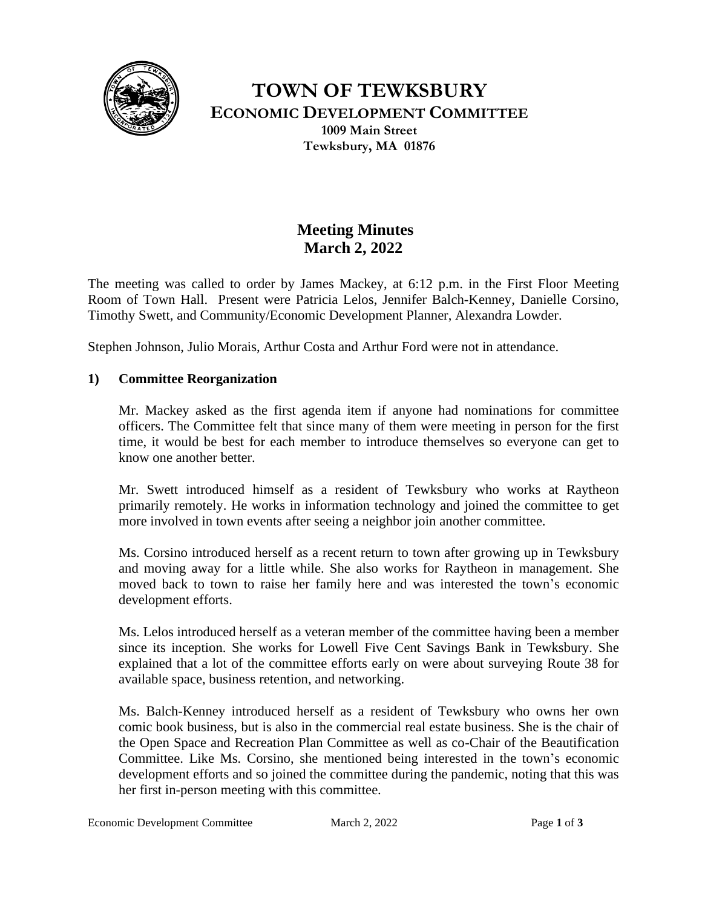

**TOWN OF TEWKSBURY ECONOMIC DEVELOPMENT COMMITTEE 1009 Main Street Tewksbury, MA 01876**

# **Meeting Minutes March 2, 2022**

The meeting was called to order by James Mackey, at 6:12 p.m. in the First Floor Meeting Room of Town Hall. Present were Patricia Lelos, Jennifer Balch-Kenney, Danielle Corsino, Timothy Swett, and Community/Economic Development Planner, Alexandra Lowder.

Stephen Johnson, Julio Morais, Arthur Costa and Arthur Ford were not in attendance.

## **1) Committee Reorganization**

Mr. Mackey asked as the first agenda item if anyone had nominations for committee officers. The Committee felt that since many of them were meeting in person for the first time, it would be best for each member to introduce themselves so everyone can get to know one another better.

Mr. Swett introduced himself as a resident of Tewksbury who works at Raytheon primarily remotely. He works in information technology and joined the committee to get more involved in town events after seeing a neighbor join another committee.

Ms. Corsino introduced herself as a recent return to town after growing up in Tewksbury and moving away for a little while. She also works for Raytheon in management. She moved back to town to raise her family here and was interested the town's economic development efforts.

Ms. Lelos introduced herself as a veteran member of the committee having been a member since its inception. She works for Lowell Five Cent Savings Bank in Tewksbury. She explained that a lot of the committee efforts early on were about surveying Route 38 for available space, business retention, and networking.

Ms. Balch-Kenney introduced herself as a resident of Tewksbury who owns her own comic book business, but is also in the commercial real estate business. She is the chair of the Open Space and Recreation Plan Committee as well as co-Chair of the Beautification Committee. Like Ms. Corsino, she mentioned being interested in the town's economic development efforts and so joined the committee during the pandemic, noting that this was her first in-person meeting with this committee.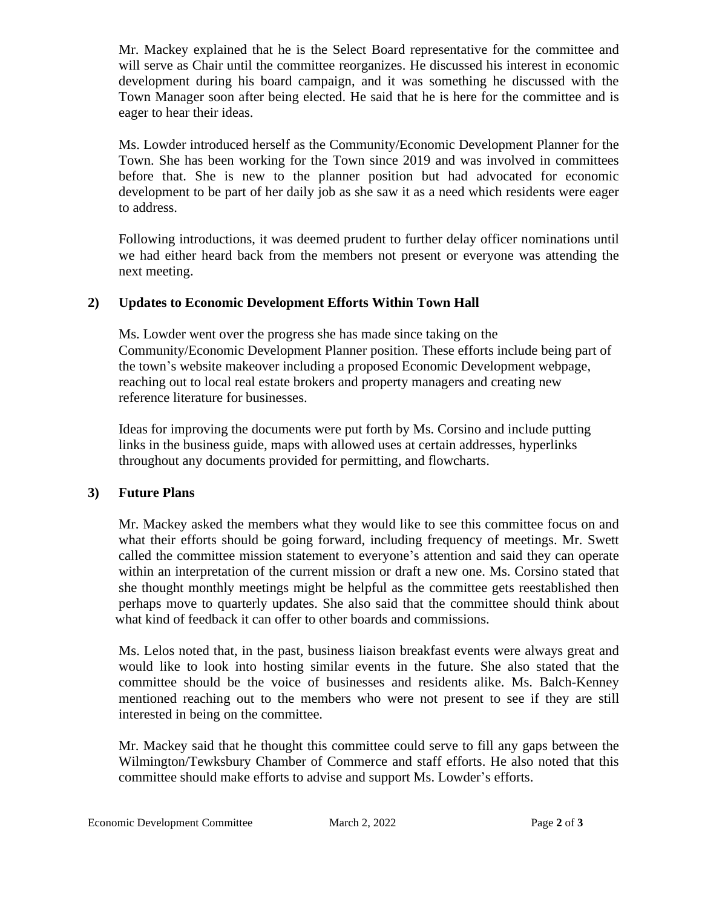Mr. Mackey explained that he is the Select Board representative for the committee and will serve as Chair until the committee reorganizes. He discussed his interest in economic development during his board campaign, and it was something he discussed with the Town Manager soon after being elected. He said that he is here for the committee and is eager to hear their ideas.

Ms. Lowder introduced herself as the Community/Economic Development Planner for the Town. She has been working for the Town since 2019 and was involved in committees before that. She is new to the planner position but had advocated for economic development to be part of her daily job as she saw it as a need which residents were eager to address.

Following introductions, it was deemed prudent to further delay officer nominations until we had either heard back from the members not present or everyone was attending the next meeting.

## **2) Updates to Economic Development Efforts Within Town Hall**

 Ms. Lowder went over the progress she has made since taking on the Community/Economic Development Planner position. These efforts include being part of the town's website makeover including a proposed Economic Development webpage, reaching out to local real estate brokers and property managers and creating new reference literature for businesses.

 Ideas for improving the documents were put forth by Ms. Corsino and include putting links in the business guide, maps with allowed uses at certain addresses, hyperlinks throughout any documents provided for permitting, and flowcharts.

# **3) Future Plans**

 Mr. Mackey asked the members what they would like to see this committee focus on and what their efforts should be going forward, including frequency of meetings. Mr. Swett called the committee mission statement to everyone's attention and said they can operate within an interpretation of the current mission or draft a new one. Ms. Corsino stated that she thought monthly meetings might be helpful as the committee gets reestablished then perhaps move to quarterly updates. She also said that the committee should think about what kind of feedback it can offer to other boards and commissions.

 Ms. Lelos noted that, in the past, business liaison breakfast events were always great and would like to look into hosting similar events in the future. She also stated that the committee should be the voice of businesses and residents alike. Ms. Balch-Kenney mentioned reaching out to the members who were not present to see if they are still interested in being on the committee.

 Mr. Mackey said that he thought this committee could serve to fill any gaps between the Wilmington/Tewksbury Chamber of Commerce and staff efforts. He also noted that this committee should make efforts to advise and support Ms. Lowder's efforts.